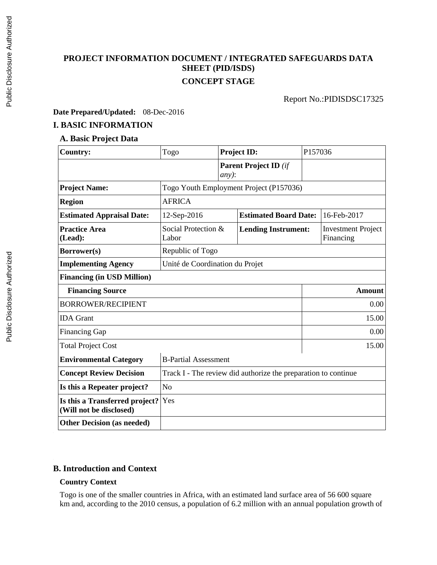# **PROJECT INFORMATION DOCUMENT / INTEGRATED SAFEGUARDS DATA SHEET (PID/ISDS) CONCEPT STAGE**

Report No.:PIDISDSC17325

 $\overline{ }$ 

#### **Date Prepared/Updated:** 08-Dec-2016

#### **I. BASIC INFORMATION**

# **A. Basic Project Data**

| <b>Country:</b>                                           | Togo                                                           |         | <b>Project ID:</b>           | P157036     |                                        |
|-----------------------------------------------------------|----------------------------------------------------------------|---------|------------------------------|-------------|----------------------------------------|
|                                                           |                                                                | $any$ : | <b>Parent Project ID (if</b> |             |                                        |
| <b>Project Name:</b>                                      | Togo Youth Employment Project (P157036)                        |         |                              |             |                                        |
| <b>Region</b>                                             | <b>AFRICA</b>                                                  |         |                              |             |                                        |
| <b>Estimated Appraisal Date:</b>                          | 12-Sep-2016<br><b>Estimated Board Date:</b>                    |         |                              | 16-Feb-2017 |                                        |
| <b>Practice Area</b><br>(Lead):                           | Social Protection &<br>Labor                                   |         | <b>Lending Instrument:</b>   |             | <b>Investment Project</b><br>Financing |
| Borrower(s)                                               | Republic of Togo                                               |         |                              |             |                                        |
| <b>Implementing Agency</b>                                | Unité de Coordination du Projet                                |         |                              |             |                                        |
| <b>Financing (in USD Million)</b>                         |                                                                |         |                              |             |                                        |
| <b>Financing Source</b>                                   |                                                                |         |                              | Amount      |                                        |
| <b>BORROWER/RECIPIENT</b>                                 |                                                                |         | 0.00                         |             |                                        |
| <b>IDA</b> Grant                                          |                                                                |         | 15.00                        |             |                                        |
| <b>Financing Gap</b>                                      |                                                                |         | 0.00                         |             |                                        |
| <b>Total Project Cost</b>                                 |                                                                | 15.00   |                              |             |                                        |
| <b>Environmental Category</b>                             | <b>B-Partial Assessment</b>                                    |         |                              |             |                                        |
| <b>Concept Review Decision</b>                            | Track I - The review did authorize the preparation to continue |         |                              |             |                                        |
| Is this a Repeater project?                               | No                                                             |         |                              |             |                                        |
| Is this a Transferred project?<br>(Will not be disclosed) | Yes                                                            |         |                              |             |                                        |
| <b>Other Decision (as needed)</b>                         |                                                                |         |                              |             |                                        |

#### **B. Introduction and Context**

#### **Country Context**

Togo is one of the smaller countries in Africa, with an estimated land surface area of 56 600 square km and, according to the 2010 census, a population of 6.2 million with an annual population growth of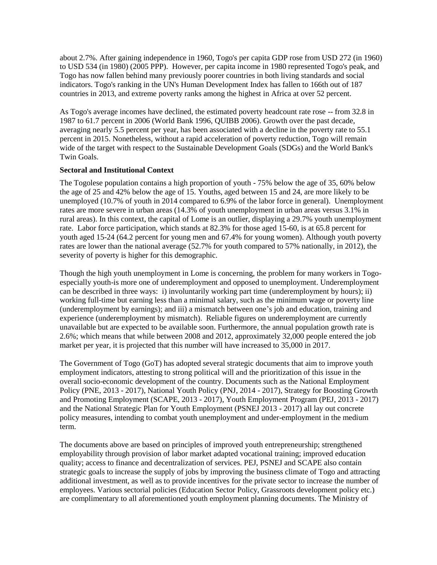about 2.7%. After gaining independence in 1960, Togo's per capita GDP rose from USD 272 (in 1960) to USD 534 (in 1980) (2005 PPP). However, per capita income in 1980 represented Togo's peak, and Togo has now fallen behind many previously poorer countries in both living standards and social indicators. Togo's ranking in the UN's Human Development Index has fallen to 166th out of 187 countries in 2013, and extreme poverty ranks among the highest in Africa at over 52 percent.

As Togo's average incomes have declined, the estimated poverty headcount rate rose -- from 32.8 in 1987 to 61.7 percent in 2006 (World Bank 1996, QUIBB 2006). Growth over the past decade, averaging nearly 5.5 percent per year, has been associated with a decline in the poverty rate to 55.1 percent in 2015. Nonetheless, without a rapid acceleration of poverty reduction, Togo will remain wide of the target with respect to the Sustainable Development Goals (SDGs) and the World Bank's Twin Goals.

#### **Sectoral and Institutional Context**

The Togolese population contains a high proportion of youth - 75% below the age of 35, 60% below the age of 25 and 42% below the age of 15. Youths, aged between 15 and 24, are more likely to be unemployed (10.7% of youth in 2014 compared to 6.9% of the labor force in general). Unemployment rates are more severe in urban areas (14.3% of youth unemployment in urban areas versus 3.1% in rural areas). In this context, the capital of Lome is an outlier, displaying a 29.7% youth unemployment rate. Labor force participation, which stands at 82.3% for those aged 15-60, is at 65.8 percent for youth aged 15-24 (64.2 percent for young men and 67.4% for young women). Although youth poverty rates are lower than the national average (52.7% for youth compared to 57% nationally, in 2012), the severity of poverty is higher for this demographic.

Though the high youth unemployment in Lome is concerning, the problem for many workers in Togoespecially youth-is more one of underemployment and opposed to unemployment. Underemployment can be described in three ways: i) involuntarily working part time (underemployment by hours); ii) working full-time but earning less than a minimal salary, such as the minimum wage or poverty line (underemployment by earnings); and iii) a mismatch between one's job and education, training and experience (underemployment by mismatch). Reliable figures on underemployment are currently unavailable but are expected to be available soon. Furthermore, the annual population growth rate is 2.6%; which means that while between 2008 and 2012, approximately 32,000 people entered the job market per year, it is projected that this number will have increased to 35,000 in 2017.

The Government of Togo (GoT) has adopted several strategic documents that aim to improve youth employment indicators, attesting to strong political will and the prioritization of this issue in the overall socio-economic development of the country. Documents such as the National Employment Policy (PNE, 2013 - 2017), National Youth Policy (PNJ, 2014 - 2017), Strategy for Boosting Growth and Promoting Employment (SCAPE, 2013 - 2017), Youth Employment Program (PEJ, 2013 - 2017) and the National Strategic Plan for Youth Employment (PSNEJ 2013 - 2017) all lay out concrete policy measures, intending to combat youth unemployment and under-employment in the medium term.

The documents above are based on principles of improved youth entrepreneurship; strengthened employability through provision of labor market adapted vocational training; improved education quality; access to finance and decentralization of services. PEJ, PSNEJ and SCAPE also contain strategic goals to increase the supply of jobs by improving the business climate of Togo and attracting additional investment, as well as to provide incentives for the private sector to increase the number of employees. Various sectorial policies (Education Sector Policy, Grassroots development policy etc.) are complimentary to all aforementioned youth employment planning documents. The Ministry of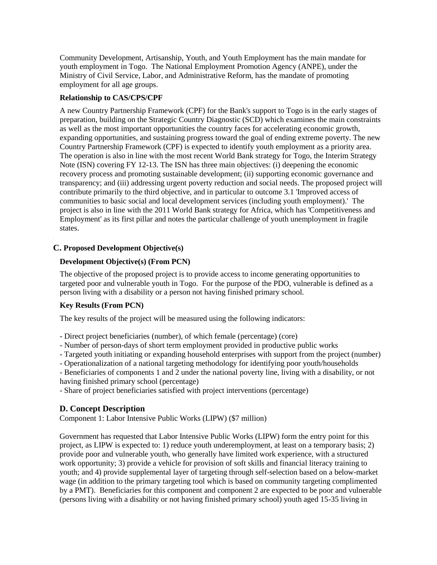Community Development, Artisanship, Youth, and Youth Employment has the main mandate for youth employment in Togo. The National Employment Promotion Agency (ANPE), under the Ministry of Civil Service, Labor, and Administrative Reform, has the mandate of promoting employment for all age groups.

#### **Relationship to CAS/CPS/CPF**

A new Country Partnership Framework (CPF) for the Bank's support to Togo is in the early stages of preparation, building on the Strategic Country Diagnostic (SCD) which examines the main constraints as well as the most important opportunities the country faces for accelerating economic growth, expanding opportunities, and sustaining progress toward the goal of ending extreme poverty. The new Country Partnership Framework (CPF) is expected to identify youth employment as a priority area. The operation is also in line with the most recent World Bank strategy for Togo, the Interim Strategy Note (ISN) covering FY 12-13. The ISN has three main objectives: (i) deepening the economic recovery process and promoting sustainable development; (ii) supporting economic governance and transparency; and (iii) addressing urgent poverty reduction and social needs. The proposed project will contribute primarily to the third objective, and in particular to outcome 3.1 'Improved access of communities to basic social and local development services (including youth employment).' The project is also in line with the 2011 World Bank strategy for Africa, which has 'Competitiveness and Employment' as its first pillar and notes the particular challenge of youth unemployment in fragile states.

#### **C. Proposed Development Objective(s)**

#### **Development Objective(s) (From PCN)**

The objective of the proposed project is to provide access to income generating opportunities to targeted poor and vulnerable youth in Togo. For the purpose of the PDO, vulnerable is defined as a person living with a disability or a person not having finished primary school.

#### **Key Results (From PCN)**

The key results of the project will be measured using the following indicators:

- Direct project beneficiaries (number), of which female (percentage) (core)
- Number of person-days of short term employment provided in productive public works
- Targeted youth initiating or expanding household enterprises with support from the project (number)
- Operationalization of a national targeting methodology for identifying poor youth/households

- Beneficiaries of components 1 and 2 under the national poverty line, living with a disability, or not having finished primary school (percentage)

- Share of project beneficiaries satisfied with project interventions (percentage)

#### **D. Concept Description**

Component 1: Labor Intensive Public Works (LIPW) (\$7 million)

Government has requested that Labor Intensive Public Works (LIPW) form the entry point for this project, as LIPW is expected to: 1) reduce youth underemployment, at least on a temporary basis; 2) provide poor and vulnerable youth, who generally have limited work experience, with a structured work opportunity; 3) provide a vehicle for provision of soft skills and financial literacy training to youth; and 4) provide supplemental layer of targeting through self-selection based on a below-market wage (in addition to the primary targeting tool which is based on community targeting complimented by a PMT). Beneficiaries for this component and component 2 are expected to be poor and vulnerable (persons living with a disability or not having finished primary school) youth aged 15-35 living in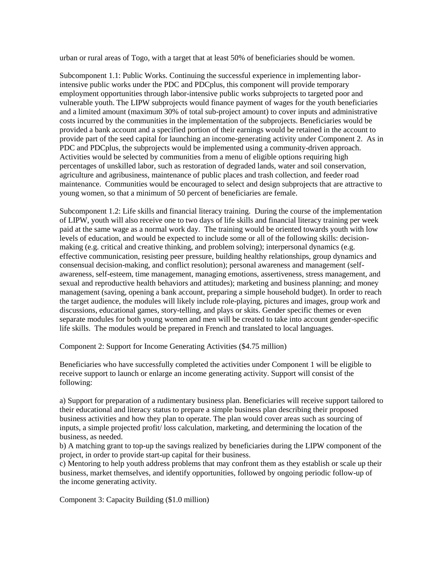urban or rural areas of Togo, with a target that at least 50% of beneficiaries should be women.

Subcomponent 1.1: Public Works. Continuing the successful experience in implementing laborintensive public works under the PDC and PDCplus, this component will provide temporary employment opportunities through labor-intensive public works subprojects to targeted poor and vulnerable youth. The LIPW subprojects would finance payment of wages for the youth beneficiaries and a limited amount (maximum 30% of total sub-project amount) to cover inputs and administrative costs incurred by the communities in the implementation of the subprojects. Beneficiaries would be provided a bank account and a specified portion of their earnings would be retained in the account to provide part of the seed capital for launching an income-generating activity under Component 2. As in PDC and PDCplus, the subprojects would be implemented using a community-driven approach. Activities would be selected by communities from a menu of eligible options requiring high percentages of unskilled labor, such as restoration of degraded lands, water and soil conservation, agriculture and agribusiness, maintenance of public places and trash collection, and feeder road maintenance. Communities would be encouraged to select and design subprojects that are attractive to young women, so that a minimum of 50 percent of beneficiaries are female.

Subcomponent 1.2: Life skills and financial literacy training. During the course of the implementation of LIPW, youth will also receive one to two days of life skills and financial literacy training per week paid at the same wage as a normal work day. The training would be oriented towards youth with low levels of education, and would be expected to include some or all of the following skills: decisionmaking (e.g. critical and creative thinking, and problem solving); interpersonal dynamics (e.g. effective communication, resisting peer pressure, building healthy relationships, group dynamics and consensual decision-making, and conflict resolution); personal awareness and management (selfawareness, self-esteem, time management, managing emotions, assertiveness, stress management, and sexual and reproductive health behaviors and attitudes); marketing and business planning; and money management (saving, opening a bank account, preparing a simple household budget). In order to reach the target audience, the modules will likely include role-playing, pictures and images, group work and discussions, educational games, story-telling, and plays or skits. Gender specific themes or even separate modules for both young women and men will be created to take into account gender-specific life skills. The modules would be prepared in French and translated to local languages.

Component 2: Support for Income Generating Activities (\$4.75 million)

Beneficiaries who have successfully completed the activities under Component 1 will be eligible to receive support to launch or enlarge an income generating activity. Support will consist of the following:

a) Support for preparation of a rudimentary business plan. Beneficiaries will receive support tailored to their educational and literacy status to prepare a simple business plan describing their proposed business activities and how they plan to operate. The plan would cover areas such as sourcing of inputs, a simple projected profit/ loss calculation, marketing, and determining the location of the business, as needed.

b) A matching grant to top-up the savings realized by beneficiaries during the LIPW component of the project, in order to provide start-up capital for their business.

c) Mentoring to help youth address problems that may confront them as they establish or scale up their business, market themselves, and identify opportunities, followed by ongoing periodic follow-up of the income generating activity.

Component 3: Capacity Building (\$1.0 million)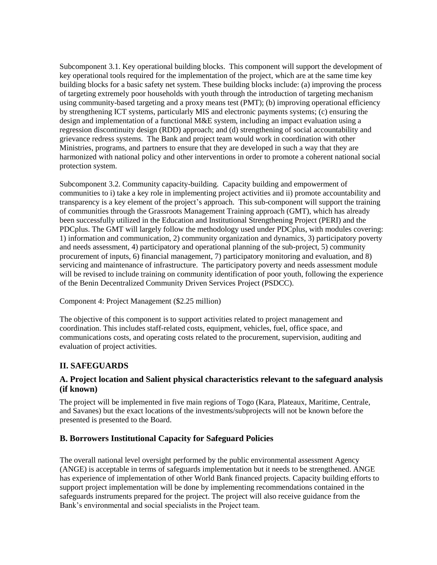Subcomponent 3.1. Key operational building blocks. This component will support the development of key operational tools required for the implementation of the project, which are at the same time key building blocks for a basic safety net system. These building blocks include: (a) improving the process of targeting extremely poor households with youth through the introduction of targeting mechanism using community-based targeting and a proxy means test (PMT); (b) improving operational efficiency by strengthening ICT systems, particularly MIS and electronic payments systems; (c) ensuring the design and implementation of a functional M&E system, including an impact evaluation using a regression discontinuity design (RDD) approach; and (d) strengthening of social accountability and grievance redress systems. The Bank and project team would work in coordination with other Ministries, programs, and partners to ensure that they are developed in such a way that they are harmonized with national policy and other interventions in order to promote a coherent national social protection system.

Subcomponent 3.2. Community capacity-building. Capacity building and empowerment of communities to i) take a key role in implementing project activities and ii) promote accountability and transparency is a key element of the project's approach. This sub-component will support the training of communities through the Grassroots Management Training approach (GMT), which has already been successfully utilized in the Education and Institutional Strengthening Project (PERI) and the PDCplus. The GMT will largely follow the methodology used under PDCplus, with modules covering: 1) information and communication, 2) community organization and dynamics, 3) participatory poverty and needs assessment, 4) participatory and operational planning of the sub-project, 5) community procurement of inputs, 6) financial management, 7) participatory monitoring and evaluation, and 8) servicing and maintenance of infrastructure. The participatory poverty and needs assessment module will be revised to include training on community identification of poor youth, following the experience of the Benin Decentralized Community Driven Services Project (PSDCC).

#### Component 4: Project Management (\$2.25 million)

The objective of this component is to support activities related to project management and coordination. This includes staff-related costs, equipment, vehicles, fuel, office space, and communications costs, and operating costs related to the procurement, supervision, auditing and evaluation of project activities.

#### **II. SAFEGUARDS**

#### **A. Project location and Salient physical characteristics relevant to the safeguard analysis (if known)**

The project will be implemented in five main regions of Togo (Kara, Plateaux, Maritime, Centrale, and Savanes) but the exact locations of the investments/subprojects will not be known before the presented is presented to the Board.

#### **B. Borrowers Institutional Capacity for Safeguard Policies**

The overall national level oversight performed by the public environmental assessment Agency (ANGE) is acceptable in terms of safeguards implementation but it needs to be strengthened. ANGE has experience of implementation of other World Bank financed projects. Capacity building efforts to support project implementation will be done by implementing recommendations contained in the safeguards instruments prepared for the project. The project will also receive guidance from the Bank's environmental and social specialists in the Project team.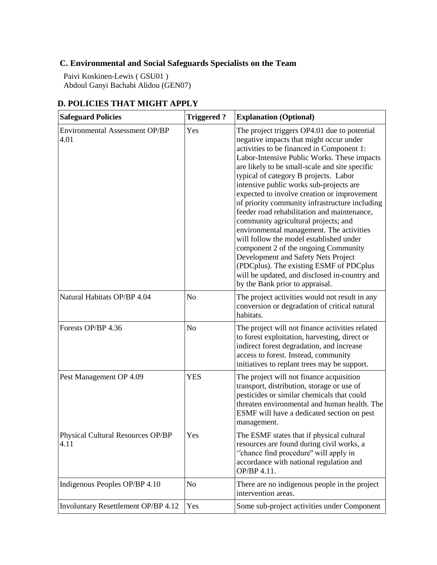## **C. Environmental and Social Safeguards Specialists on the Team**

Paivi Koskinen-Lewis ( GSU01 ) Abdoul Ganyi Bachabi Alidou (GEN07)

# **D. POLICIES THAT MIGHT APPLY**

| <b>Safeguard Policies</b>                     | <b>Triggered?</b> | <b>Explanation (Optional)</b>                                                                                                                                                                                                                                                                                                                                                                                                                                                                                                                                                                                                                                                                                                                                                                                          |
|-----------------------------------------------|-------------------|------------------------------------------------------------------------------------------------------------------------------------------------------------------------------------------------------------------------------------------------------------------------------------------------------------------------------------------------------------------------------------------------------------------------------------------------------------------------------------------------------------------------------------------------------------------------------------------------------------------------------------------------------------------------------------------------------------------------------------------------------------------------------------------------------------------------|
| <b>Environmental Assessment OP/BP</b><br>4.01 | Yes               | The project triggers OP4.01 due to potential<br>negative impacts that might occur under<br>activities to be financed in Component 1:<br>Labor-Intensive Public Works. These impacts<br>are likely to be small-scale and site specific<br>typical of category B projects. Labor<br>intensive public works sub-projects are<br>expected to involve creation or improvement<br>of priority community infrastructure including<br>feeder road rehabilitation and maintenance,<br>community agricultural projects; and<br>environmental management. The activities<br>will follow the model established under<br>component 2 of the ongoing Community<br>Development and Safety Nets Project<br>(PDCplus). The existing ESMF of PDCplus<br>will be updated, and disclosed in-country and<br>by the Bank prior to appraisal. |
| Natural Habitats OP/BP 4.04                   | N <sub>o</sub>    | The project activities would not result in any<br>conversion or degradation of critical natural<br>habitats.                                                                                                                                                                                                                                                                                                                                                                                                                                                                                                                                                                                                                                                                                                           |
| Forests OP/BP 4.36                            | N <sub>o</sub>    | The project will not finance activities related<br>to forest exploitation, harvesting, direct or<br>indirect forest degradation, and increase<br>access to forest. Instead, community<br>initiatives to replant trees may be support.                                                                                                                                                                                                                                                                                                                                                                                                                                                                                                                                                                                  |
| Pest Management OP 4.09                       | <b>YES</b>        | The project will not finance acquisition<br>transport, distribution, storage or use of<br>pesticides or similar chemicals that could<br>threaten environmental and human health. The<br>ESMF will have a dedicated section on pest<br>management.                                                                                                                                                                                                                                                                                                                                                                                                                                                                                                                                                                      |
| Physical Cultural Resources OP/BP<br>4.11     | Yes               | The ESMF states that if physical cultural<br>resources are found during civil works, a<br>"chance find procedure" will apply in<br>accordance with national regulation and<br>OP/BP 4.11.                                                                                                                                                                                                                                                                                                                                                                                                                                                                                                                                                                                                                              |
| Indigenous Peoples OP/BP 4.10                 | No                | There are no indigenous people in the project<br>intervention areas.                                                                                                                                                                                                                                                                                                                                                                                                                                                                                                                                                                                                                                                                                                                                                   |
| Involuntary Resettlement OP/BP 4.12           | Yes               | Some sub-project activities under Component                                                                                                                                                                                                                                                                                                                                                                                                                                                                                                                                                                                                                                                                                                                                                                            |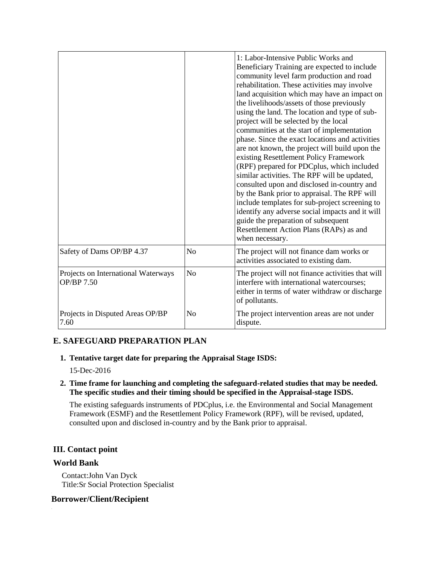|                                                   |                | 1: Labor-Intensive Public Works and<br>Beneficiary Training are expected to include<br>community level farm production and road<br>rehabilitation. These activities may involve<br>land acquisition which may have an impact on<br>the livelihoods/assets of those previously<br>using the land. The location and type of sub-<br>project will be selected by the local<br>communities at the start of implementation<br>phase. Since the exact locations and activities<br>are not known, the project will build upon the<br>existing Resettlement Policy Framework<br>(RPF) prepared for PDCplus, which included<br>similar activities. The RPF will be updated,<br>consulted upon and disclosed in-country and<br>by the Bank prior to appraisal. The RPF will<br>include templates for sub-project screening to<br>identify any adverse social impacts and it will<br>guide the preparation of subsequent<br>Resettlement Action Plans (RAPs) as and<br>when necessary. |  |
|---------------------------------------------------|----------------|-----------------------------------------------------------------------------------------------------------------------------------------------------------------------------------------------------------------------------------------------------------------------------------------------------------------------------------------------------------------------------------------------------------------------------------------------------------------------------------------------------------------------------------------------------------------------------------------------------------------------------------------------------------------------------------------------------------------------------------------------------------------------------------------------------------------------------------------------------------------------------------------------------------------------------------------------------------------------------|--|
| Safety of Dams OP/BP 4.37                         | N <sub>o</sub> | The project will not finance dam works or<br>activities associated to existing dam.                                                                                                                                                                                                                                                                                                                                                                                                                                                                                                                                                                                                                                                                                                                                                                                                                                                                                         |  |
| Projects on International Waterways<br>OP/BP 7.50 | N <sub>o</sub> | The project will not finance activities that will<br>interfere with international watercourses;<br>either in terms of water withdraw or discharge<br>of pollutants.                                                                                                                                                                                                                                                                                                                                                                                                                                                                                                                                                                                                                                                                                                                                                                                                         |  |
| Projects in Disputed Areas OP/BP<br>7.60          | N <sub>o</sub> | The project intervention areas are not under<br>dispute.                                                                                                                                                                                                                                                                                                                                                                                                                                                                                                                                                                                                                                                                                                                                                                                                                                                                                                                    |  |

### **E. SAFEGUARD PREPARATION PLAN**

 **1. Tentative target date for preparing the Appraisal Stage ISDS:**

15-Dec-2016

 **2. Time frame for launching and completing the safeguard-related studies that may be needed. The specific studies and their timing should be specified in the Appraisal-stage ISDS.**

The existing safeguards instruments of PDCplus, i.e. the Environmental and Social Management Framework (ESMF) and the Resettlement Policy Framework (RPF), will be revised, updated, consulted upon and disclosed in-country and by the Bank prior to appraisal.

#### **III. Contact point**

#### **World Bank**

Contact:John Van Dyck Title:Sr Social Protection Specialist

#### **Borrower/Client/Recipient**